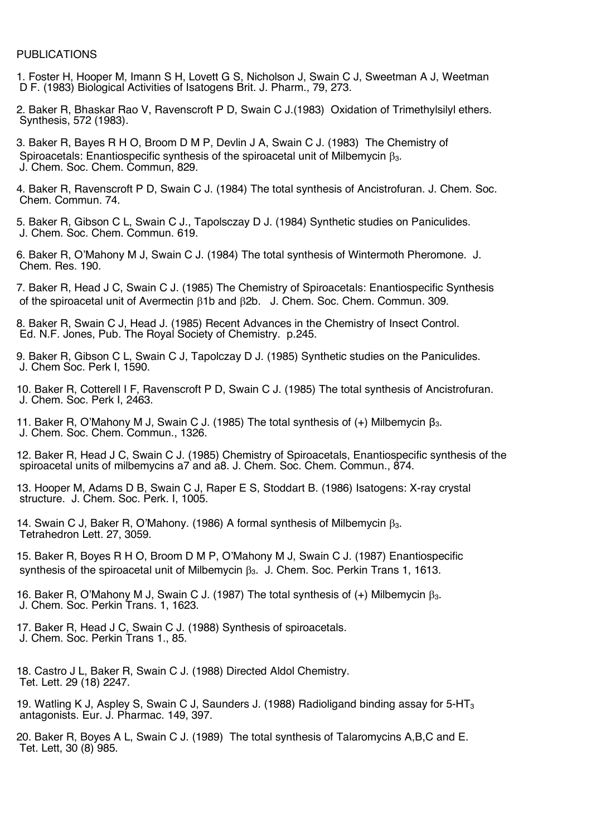## PUBLICATIONS

- 1. Foster H, Hooper M, Imann S H, Lovett G S, Nicholson J, Swain C J, Sweetman A J, Weetman D F. (1983) Biological Activities of Isatogens Brit. J. Pharm., 79, 273.
- 2. Baker R, Bhaskar Rao V, Ravenscroft P D, Swain C J.(1983) Oxidation of Trimethylsilyl ethers. Synthesis, 572 (1983).
- 3. Baker R, Bayes R H O, Broom D M P, Devlin J A, Swain C J. (1983) The Chemistry of Spiroacetals: Enantiospecific synthesis of the spiroacetal unit of Milbemycin B<sub>3</sub>. J. Chem. Soc. Chem. Commun, 829.
- 4. Baker R, Ravenscroft P D, Swain C J. (1984) The total synthesis of Ancistrofuran. J. Chem. Soc. Chem. Commun. 74.
- 5. Baker R, Gibson C L, Swain C J., Tapolsczay D J. (1984) Synthetic studies on Paniculides. J. Chem. Soc. Chem. Commun. 619.
- 6. Baker R, O'Mahony M J, Swain C J. (1984) The total synthesis of Wintermoth Pheromone. J. Chem. Res. 190.
- 7. Baker R, Head J C, Swain C J. (1985) The Chemistry of Spiroacetals: Enantiospecific Synthesis of the spiroacetal unit of Avermectin b1b and b2b. J. Chem. Soc. Chem. Commun. 309.
- 8. Baker R, Swain C J, Head J. (1985) Recent Advances in the Chemistry of Insect Control. Ed. N.F. Jones, Pub. The Royal Society of Chemistry. p.245.
- 9. Baker R, Gibson C L, Swain C J, Tapolczay D J. (1985) Synthetic studies on the Paniculides. J. Chem Soc. Perk I, 1590.
- 10. Baker R, Cotterell I F, Ravenscroft P D, Swain C J. (1985) The total synthesis of Ancistrofuran. J. Chem. Soc. Perk I, 2463.
- 11. Baker R, O'Mahony M J, Swain C J. (1985) The total synthesis of (+) Milbemycin β3. J. Chem. Soc. Chem. Commun., 1326.
- 12. Baker R, Head J C, Swain C J. (1985) Chemistry of Spiroacetals, Enantiospecific synthesis of the spiroacetal units of milbemycins a7 and a8. J. Chem. Soc. Chem. Commun., 874.
- 13. Hooper M, Adams D B, Swain C J, Raper E S, Stoddart B. (1986) Isatogens: X-ray crystal structure. J. Chem. Soc. Perk. I, 1005.
- 14. Swain C J, Baker R, O'Mahony. (1986) A formal synthesis of Milbemycin  $\beta_3$ . Tetrahedron Lett. 27, 3059.
- 15. Baker R, Boyes R H O, Broom D M P, O'Mahony M J, Swain C J. (1987) Enantiospecific synthesis of the spiroacetal unit of Milbemycin  $\beta_3$ . J. Chem. Soc. Perkin Trans 1, 1613.
- 16. Baker R, O'Mahony M J, Swain C J. (1987) The total synthesis of  $(+)$  Milbemycin  $\beta_3$ . J. Chem. Soc. Perkin Trans. 1, 1623.
- 17. Baker R, Head J C, Swain C J. (1988) Synthesis of spiroacetals. J. Chem. Soc. Perkin Trans 1., 85.
- 18. Castro J L, Baker R, Swain C J. (1988) Directed Aldol Chemistry. Tet. Lett. 29 (18) 2247.
- 19. Watling K J, Aspley S, Swain C J, Saunders J. (1988) Radioligand binding assay for 5-HT<sub>3</sub> antagonists. Eur. J. Pharmac. 149, 397.
- 20. Baker R, Boyes A L, Swain C J. (1989) The total synthesis of Talaromycins A,B,C and E. Tet. Lett, 30 (8) 985.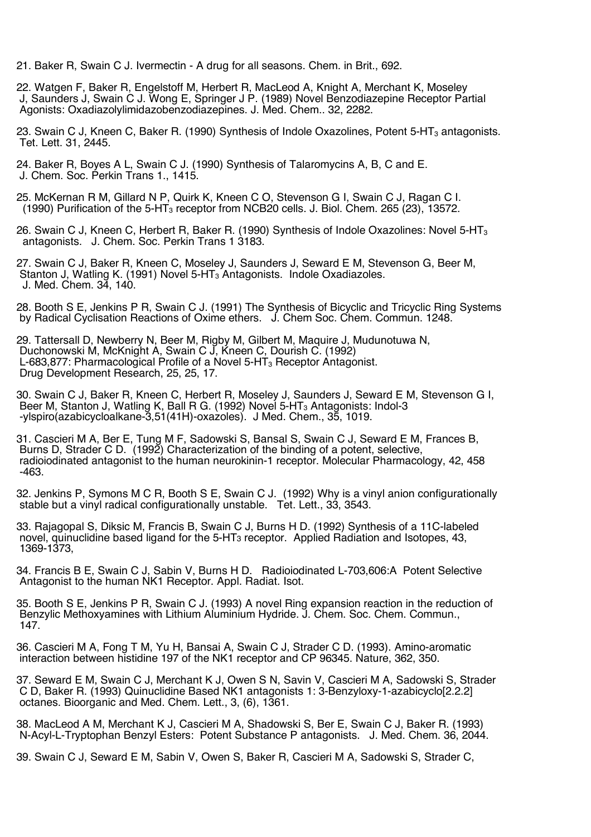21. Baker R, Swain C J. Ivermectin - A drug for all seasons. Chem. in Brit., 692.

22. Watgen F, Baker R, Engelstoff M, Herbert R, MacLeod A, Knight A, Merchant K, Moseley J, Saunders J, Swain C J. Wong E, Springer J P. (1989) Novel Benzodiazepine Receptor Partial Agonists: Oxadiazolylimidazobenzodiazepines. J. Med. Chem.. 32, 2282.

23. Swain C J, Kneen C, Baker R, (1990) Synthesis of Indole Oxazolines, Potent 5-HT<sub>3</sub> antagonists. Tet. Lett. 31, 2445.

24. Baker R, Boyes A L, Swain C J. (1990) Synthesis of Talaromycins A, B, C and E. J. Chem. Soc. Perkin Trans 1., 1415.

25. McKernan R M, Gillard N P, Quirk K, Kneen C O, Stevenson G I, Swain C J, Ragan C I. (1990) Purification of the 5-HT<sub>3</sub> receptor from NCB20 cells. J. Biol. Chem. 265 (23), 13572.

26. Swain C J, Kneen C, Herbert R, Baker R. (1990) Synthesis of Indole Oxazolines: Novel 5-HT<sub>3</sub> antagonists. J. Chem. Soc. Perkin Trans 1 3183.

27. Swain C J, Baker R, Kneen C, Moseley J, Saunders J, Seward E M, Stevenson G, Beer M, Stanton J, Watling K. (1991) Novel 5-HT<sub>3</sub> Antagonists. Indole Oxadiazoles. J. Med. Chem. 34, 140.

28. Booth S E, Jenkins P R, Swain C J. (1991) The Synthesis of Bicyclic and Tricyclic Ring Systems by Radical Cyclisation Reactions of Oxime ethers. J. Chem Soc. Chem. Commun. 1248.

29. Tattersall D, Newberry N, Beer M, Rigby M, Gilbert M, Maquire J, Mudunotuwa N, Duchonowski M, McKnight A, Swain C J, Kneen C, Dourish C. (1992) L-683,877: Pharmacological Profile of a Novel 5-HT $_3$  Receptor Antagonist. Drug Development Research, 25, 25, 17.

30. Swain C J, Baker R, Kneen C, Herbert R, Moseley J, Saunders J, Seward E M, Stevenson G I, Beer M, Stanton J, Watling K, Ball R G. (1992) Novel 5-HT<sub>3</sub> Antagonists: Indol-3 -ylspiro(azabicycloalkane-3,51(41H)-oxazoles). J Med. Chem., 35, 1019.

31. Cascieri M A, Ber E, Tung M F, Sadowski S, Bansal S, Swain C J, Seward E M, Frances B, Burns D, Strader C D. (1992) Characterization of the binding of a potent, selective, radioiodinated antagonist to the human neurokinin-1 receptor. Molecular Pharmacology, 42, 458 -463.

32. Jenkins P, Symons M C R, Booth S E, Swain C J. (1992) Why is a vinyl anion configurationally stable but a vinyl radical configurationally unstable. Tet. Lett., 33, 3543.

33. Rajagopal S, Diksic M, Francis B, Swain C J, Burns H D. (1992) Synthesis of a 11C-labeled novel, quinuclidine based ligand for the 5-HT3 receptor. Applied Radiation and Isotopes, 43, 1369-1373,

34. Francis B E, Swain C J, Sabin V, Burns H D. Radioiodinated L-703,606:A Potent Selective Antagonist to the human NK1 Receptor. Appl. Radiat. Isot.

35. Booth S E, Jenkins P R, Swain C J. (1993) A novel Ring expansion reaction in the reduction of Benzylic Methoxyamines with Lithium Aluminium Hydride. J. Chem. Soc. Chem. Commun., 147.

36. Cascieri M A, Fong T M, Yu H, Bansai A, Swain C J, Strader C D. (1993). Amino-aromatic interaction between histidine 197 of the NK1 receptor and CP 96345. Nature, 362, 350.

37. Seward E M, Swain C J, Merchant K J, Owen S N, Savin V, Cascieri M A, Sadowski S, Strader C D, Baker R. (1993) Quinuclidine Based NK1 antagonists 1: 3-Benzyloxy-1-azabicyclo[2.2.2] octanes. Bioorganic and Med. Chem. Lett., 3, (6), 1361.

38. MacLeod A M, Merchant K J, Cascieri M A, Shadowski S, Ber E, Swain C J, Baker R. (1993) N-Acyl-L-Tryptophan Benzyl Esters: Potent Substance P antagonists. J. Med. Chem. 36, 2044.

39. Swain C J, Seward E M, Sabin V, Owen S, Baker R, Cascieri M A, Sadowski S, Strader C,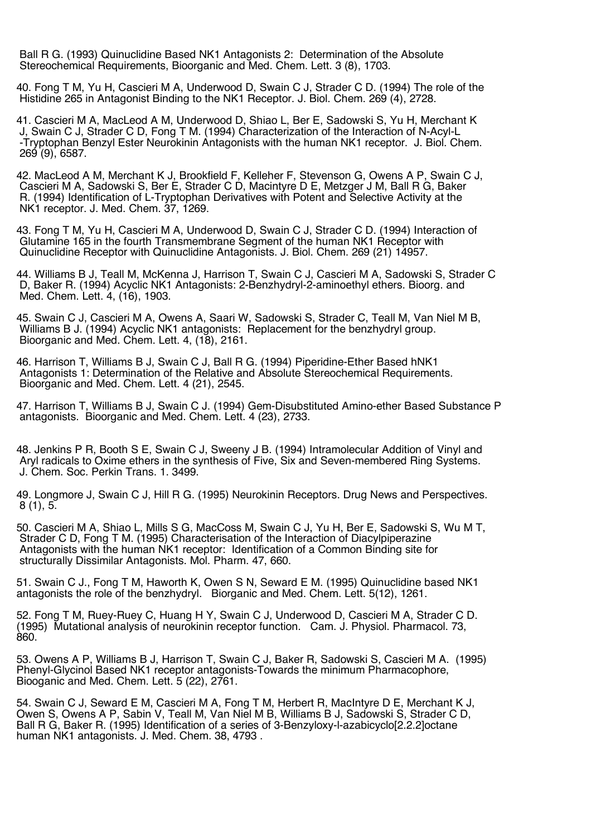Ball R G. (1993) Quinuclidine Based NK1 Antagonists 2: Determination of the Absolute Stereochemical Requirements, Bioorganic and Med. Chem. Lett. 3 (8), 1703.

40. Fong T M, Yu H, Cascieri M A, Underwood D, Swain C J, Strader C D. (1994) The role of the Histidine 265 in Antagonist Binding to the NK1 Receptor. J. Biol. Chem. 269 (4), 2728.

41. Cascieri M A, MacLeod A M, Underwood D, Shiao L, Ber E, Sadowski S, Yu H, Merchant K<br>J, Swain C J, Strader C D, Fong T M. (1994) Characterization of the Interaction of N-Acyl-L -Tryptophan Benzyl Ester Neurokinin Antagonists with the human NK1 receptor. J. Biol. Chem. 269 (9), 6587.

42. MacLeod A M, Merchant K J, Brookfield F, Kelleher F, Stevenson G, Owens A P, Swain C J, Cascieri M A, Sadowski S, Ber E, Strader C D, Macintyre D E, Metzger J M, Ball R G, Baker R. (1994) Identification of L-Tryptophan Derivatives with Potent and Selective Activity at the NK1 receptor. J. Med. Chem. 37, 1269.

43. Fong T M, Yu H, Cascieri M A, Underwood D, Swain C J, Strader C D. (1994) Interaction of Glutamine 165 in the fourth Transmembrane Segment of the human NK1 Receptor with Quinuclidine Receptor with Quinuclidine Antagonists. J. Biol. Chem. 269 (21) 14957.

44. Williams B J, Teall M, McKenna J, Harrison T, Swain C J, Cascieri M A, Sadowski S, Strader C D, Baker R. (1994) Acyclic NK1 Antagonists: 2-Benzhydryl-2-aminoethyl ethers. Bioorg. and Med. Chem. Lett. 4, (16), 1903.

45. Swain C J, Cascieri M A, Owens A, Saari W, Sadowski S, Strader C, Teall M, Van Niel M B, Williams B J. (1994) Acyclic NK1 antagonists: Replacement for the benzhydryl group. Bioorganic and Med. Chem. Lett. 4, (18), 2161.

46. Harrison T, Williams B J, Swain C J, Ball R G. (1994) Piperidine-Ether Based hNK1 Antagonists 1: Determination of the Relative and Absolute Stereochemical Requirements. Bioorganic and Med. Chem. Lett. 4 (21), 2545.

47. Harrison T, Williams B J, Swain C J. (1994) Gem-Disubstituted Amino-ether Based Substance P antagonists. Bioorganic and Med. Chem. Lett. 4 (23), 2733.

48. Jenkins P R, Booth S E, Swain C J, Sweeny J B. (1994) Intramolecular Addition of Vinyl and Aryl radicals to Oxime ethers in the synthesis of Five, Six and Seven-membered Ring Systems. J. Chem. Soc. Perkin Trans. 1. 3499.

49. Longmore J, Swain C J, Hill R G. (1995) Neurokinin Receptors. Drug News and Perspectives.  $8(1), 5.$ 

50. Cascieri M A, Shiao L, Mills S G, MacCoss M, Swain C J, Yu H, Ber E, Sadowski S, Wu M T, Strader C D, Fong T M. (1995) Characterisation of the Interaction of Diacylpiperazine Antagonists with the human NK1 receptor: Identification of a Common Binding site for structurally Dissimilar Antagonists. Mol. Pharm. 47, 660.

51. Swain C J., Fong T M, Haworth K, Owen S N, Seward E M. (1995) Quinuclidine based NK1 antagonists the role of the benzhydryl. Biorganic and Med. Chem. Lett. 5(12), 1261.

52. Fong T M, Ruey-Ruey C, Huang H Y, Swain C J, Underwood D, Cascieri M A, Strader C D. (1995) Mutational analysis of neurokinin receptor function. Cam. J. Physiol. Pharmacol. 73, 860.

53. Owens A P, Williams B J, Harrison T, Swain C J, Baker R, Sadowski S, Cascieri M A. (1995) Phenyl-Glycinol Based NK1 receptor antagonists-Towards the minimum Pharmacophore, Biooganic and Med. Chem. Lett. 5 (22), 2761.

54. Swain C J, Seward E M, Cascieri M A, Fong T M, Herbert R, MacIntyre D E, Merchant K J, Owen S, Owens A P, Sabin V, Teall M, Van Niel M B, Williams B J, Sadowski S, Strader C D, Ball R G, Baker R. (1995) Identification of a series of 3-Benzyloxy-l-azabicyclo[2.2.2]octane human NK1 antagonists. J. Med. Chem. 38, 4793 .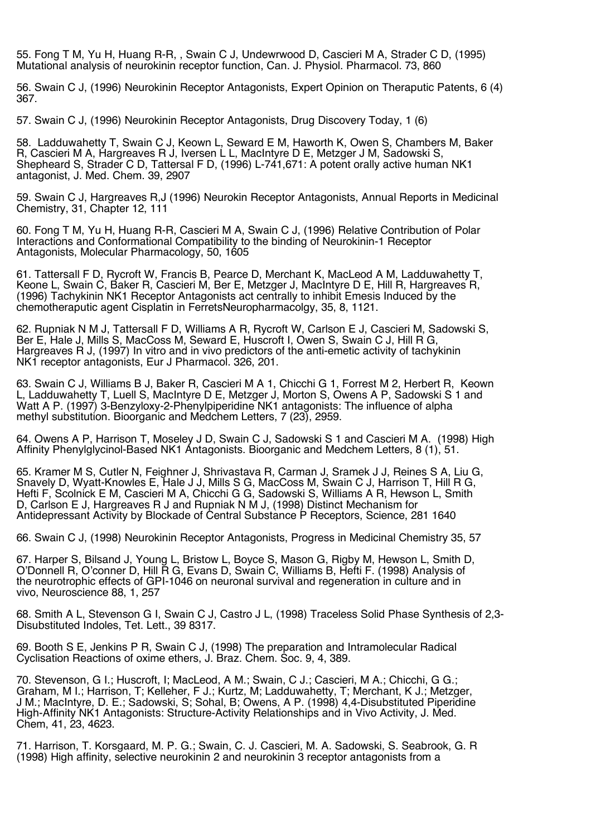55. Fong T M, Yu H, Huang R-R, , Swain C J, Undewrwood D, Cascieri M A, Strader C D, (1995) Mutational analysis of neurokinin receptor function, Can. J. Physiol. Pharmacol. 73, 860

56. Swain C J, (1996) Neurokinin Receptor Antagonists, Expert Opinion on Theraputic Patents, 6 (4) 367.

57. Swain C J, (1996) Neurokinin Receptor Antagonists, Drug Discovery Today, 1 (6)

58. Ladduwahetty T, Swain C J, Keown L, Seward E M, Haworth K, Owen S, Chambers M, Baker R, Cascieri M A, Hargreaves R J, Iversen L L, MacIntyre D E, Metzger J M, Sadowski S, Shepheard S, Strader C D, Tattersal F D, (1996) L-741,671: A potent orally active human NK1 antagonist, J. Med. Chem. 39, 2907

59. Swain C J, Hargreaves R,J (1996) Neurokin Receptor Antagonists, Annual Reports in Medicinal Chemistry, 31, Chapter 12, 111

60. Fong T M, Yu H, Huang R-R, Cascieri M A, Swain C J, (1996) Relative Contribution of Polar Interactions and Conformational Compatibility to the binding of Neurokinin-1 Receptor Antagonists, Molecular Pharmacology, 50, 1605

61. Tattersall F D, Rycroft W, Francis B, Pearce D, Merchant K, MacLeod A M, Ladduwahetty T, Keone L, Swain C, Baker R, Cascieri M, Ber E, Metzger J, MacIntyre D E, Hill R, Hargreaves R, (1996) Tachykinin NK1 Receptor Antagonists act centrally to inhibit Emesis Induced by the chemotheraputic agent Cisplatin in FerretsNeuropharmacolgy, 35, 8, 1121.

62. Rupniak N M J, Tattersall F D, Williams A R, Rycroft W, Carlson E J, Cascieri M, Sadowski S, Ber E, Hale J, Mills S, MacCoss M, Seward E, Huscroft I, Owen S, Swain C J, Hill R G, Hargreaves R J, (1997) In vitro and in vivo predictors of the anti-emetic activity of tachykinin NK1 receptor antagonists, Eur J Pharmacol. 326, 201.

63. Swain C J, Williams B J, Baker R, Cascieri M A 1, Chicchi G 1, Forrest M 2, Herbert R, Keown L, Ladduwahetty T, Luell S, MacIntyre D E, Metzger J, Morton S, Owens A P, Sadowski S 1 and Watt A P. (1997) 3-Benzyloxy-2-Phenylpiperidine NK1 antagonists: The influence of alpha methyl substitution. Bioorganic and Medchem Letters, 7 (23), 2959.

64. Owens A P, Harrison T, Moseley J D, Swain C J, Sadowski S 1 and Cascieri M A. (1998) High Affinity Phenylglycinol-Based NK1 Antagonists. Bioorganic and Medchem Letters, 8 (1), 51.

65. Kramer M S, Cutler N, Feighner J, Shrivastava R, Carman J, Sramek J J, Reines S A, Liu G, Snavely D, Wyatt-Knowles E, Hale J J, Mills S G, MacCoss M, Swain C J, Harrison T, Hill R G, Hefti F, Scolnick E M, Cascieri M A, Chicchi G G, Sadowski S, Williams A R, Hewson L, Smith D, Carlson E J, Hargreaves R J and Rupniak N M J, (1998) Distinct Mechanism for Antidepressant Activity by Blockade of Central Substance P Receptors, Science, 281 1640

66. Swain C J, (1998) Neurokinin Receptor Antagonists, Progress in Medicinal Chemistry 35, 57

67. Harper S, Bilsand J, Young L, Bristow L, Boyce S, Mason G, Rigby M, Hewson L, Smith D, O'Donnell R, O'conner D, Hill Ř G, Evans D, Swain C, Williams B, Hefti F. (1998) Analysis of the neurotrophic effects of GPI-1046 on neuronal survival and regeneration in culture and in vivo, Neuroscience 88, 1, 257

68. Smith A L, Stevenson G I, Swain C J, Castro J L, (1998) Traceless Solid Phase Synthesis of 2,3- Disubstituted Indoles, Tet. Lett., 39 8317.

69. Booth S E, Jenkins P R, Swain C J, (1998) The preparation and Intramolecular Radical Cyclisation Reactions of oxime ethers, J. Braz. Chem. Soc. 9, 4, 389.

70. Stevenson, G I.; Huscroft, I; MacLeod, A M.; Swain, C J.; Cascieri, M A.; Chicchi, G G.; Graham, M I.; Harrison, T; Kelleher, F J.; Kurtz, M; Ladduwahetty, T; Merchant, K J.; Metzger, J M.; MacIntyre, D. E.; Sadowski, S; Sohal, B; Owens, A P. (1998) 4,4-Disubstituted Piperidine High-Affinity NK1 Antagonists: Structure-Activity Relationships and in Vivo Activity, J. Med. Chem, 41, 23, 4623.

71. Harrison, T. Korsgaard, M. P. G.; Swain, C. J. Cascieri, M. A. Sadowski, S. Seabrook, G. R (1998) High affinity, selective neurokinin 2 and neurokinin 3 receptor antagonists from a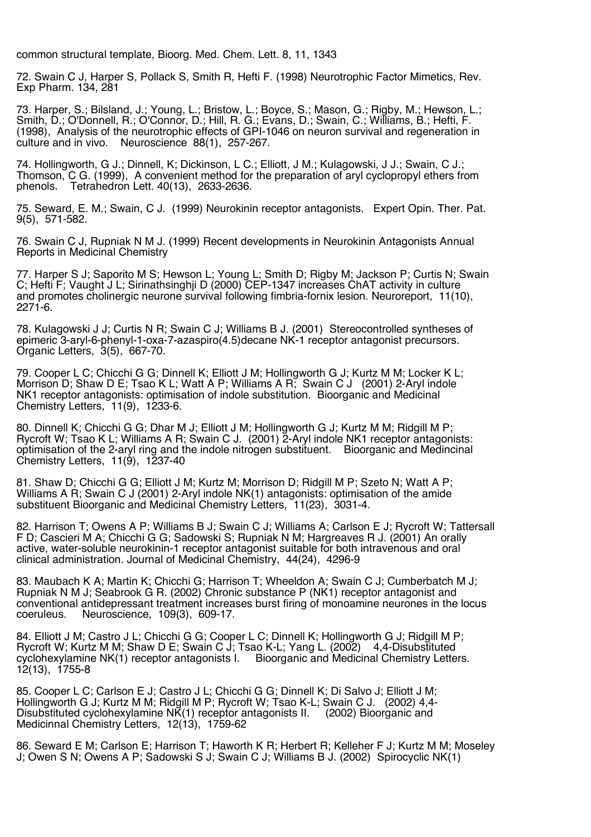common structural template, Bioorg. Med. Chem. Lett. 8, 11, 1343

72. Swain C J, Harper S, Pollack S, Smith R, Hefti F. (1998) Neurotrophic Factor Mimetics, Rev. Exp Pharm. 134, 281

73. Harper, S.; Bilsland, J.; Young, L.; Bristow, L.; Boyce, S.; Mason, G.; Rigby, M.; Hewson, L.; Smith, D.; O'Donnell, R.; O'Connor, D.; Hill, R. G.; Evans, D.; Swain, C.; Williams, B.; Hefti, F. (1998), Analysis of the neurotrophic effects of GPI-1046 on neuron survival and regeneration in culture and in vivo. Neuroscience 88(1), 257-267.

74. Hollingworth, G J.; Dinnell, K; Dickinson, L C.; Elliott, J M.; Kulagowski, J J.; Swain, C J.; Thomson, C G. (1999), A convenient method for the preparation of aryl cyclopropyl ethers from phenols. Tetrahedron Lett. 40(13), 2633-2636.

75. Seward, E. M.; Swain, C J. (1999) Neurokinin receptor antagonists. Expert Opin. Ther. Pat. 9(5), 571-582.

76. Swain C J, Rupniak N M J. (1999) Recent developments in Neurokinin Antagonists Annual Reports in Medicinal Chemistry

77. Harper S J; Saporito M S; Hewson L; Young L; Smith D; Rigby M; Jackson P; Curtis N; Swain C; Hefti F; Vaught J L; Sirinathsinghji D (2000) CEP-1347 increases ChAT activity in culture and promotes cholinergic neurone survival following fimbria-fornix lesion. Neuroreport, 11(10), 2271-6.

78. Kulagowski J J; Curtis N R; Swain C J; Williams B J. (2001) Stereocontrolled syntheses of epimeric 3-aryl-6-phenyl-1-oxa-7-azaspiro(4.5)decane NK-1 receptor antagonist precursors. Organic Letters, 3(5), 667-70.

79. Cooper L C; Chicchi G G; Dinnell K; Elliott J M; Hollingworth G J; Kurtz M M; Locker K L; Morrison D; Shaw D E; Tsao K L; Watt A P; Williams A R; Swain C J (2001) 2-Aryl indole NK1 receptor antagonists: optimisation of indole substitution. Bioorganic and Medicinal Chemistry Letters, 11(9), 1233-6.

80. Dinnell K; Chicchi G G; Dhar M J; Elliott J M; Hollingworth G J; Kurtz M M; Ridgill M P; Rycroft W; Tsao K L; Williams A R; Swain C J. (2001) 2-Aryl indole NK1 receptor antagonists: optimisation of the 2-aryl ring and the indole nitrogen substituent. Bioorganic and Medincinal Chemistry Letters,  $11(9)$ ,  $1237-40$ 

81. Shaw D; Chicchi G G; Elliott J M; Kurtz M; Morrison D; Ridgill M P; Szeto N; Watt A P; Williams A R; Swain C J (2001) 2-Aryl indole NK(1) antagonists: optimisation of the amide substituent Bioorganic and Medicinal Chemistry Letters, 11(23), 3031-4.

82. Harrison T; Owens A P; Williams B J; Swain C J; Williams A; Carlson E J; Rycroft W; Tattersall F D; Cascieri M A; Chicchi G G; Sadowski S; Rupniak N M; Hargreaves R J. (2001) An orally active, water-soluble neurokinin-1 receptor antagonist suitable for both intravenous and oral clinical administration. Journal of Medicinal Chemistry, 44(24), 4296-9

83. Maubach K A; Martin K; Chicchi G; Harrison T; Wheeldon A; Swain C J; Cumberbatch M J; Rupniak N M J; Seabrook G R. (2002) Chronic substance P (NK1) receptor antagonist and conventional antidepressant treatment increases burst firing of monoamine neurones in the locus coeruleus. Neuroscience, 109(3), 609-17. Neuroscience, 109(3), 609-17.

84. Elliott J M; Castro J L; Chicchi G G; Cooper L C; Dinnell K; Hollingworth G J; Ridgill M P; Rycroft W; Kurtz M M; Shaw D E; Swain C J; Tsao K-L; Yang L. (2002) 4,4-Disubstituted cyclohexylamine NK(1) receptor antagonists I. Bioorganic and Medicinal Chemistry Letters. 12(13), 1755-8

85. Cooper L C; Carlson E J; Castro J L; Chicchi G G; Dinnell K; Di Salvo J; Elliott J M; Hollingworth G J; Kurtz M M; Ridgill M P; Rycroft W; Tsao K-L; Swain C J. (2002) 4,4- Disubstituted cyclohexylamine NK(1) receptor antagonists II. (2002) Bioorganic and Medicinnal Chemistry Letters, 12(13), 1759-62

86. Seward E M; Carlson E; Harrison T; Haworth K R; Herbert R; Kelleher F J; Kurtz M M; Moseley J; Owen S N; Owens A P; Sadowski S J; Swain C J; Williams B J. (2002) Spirocyclic NK(1)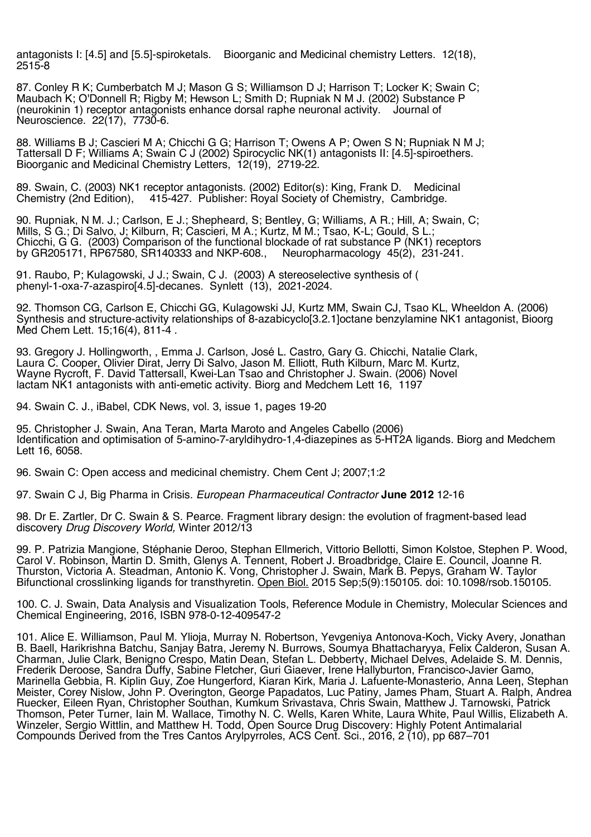antagonists I: [4.5] and [5.5]-spiroketals. Bioorganic and Medicinal chemistry Letters. 12(18), 2515-8

87. Conley R K; Cumberbatch M J; Mason G S; Williamson D J; Harrison T; Locker K; Swain C; Maubach K; O'Donnell R; Rigby M; Hewson L; Smith D; Rupniak N M J. (2002) Substance P (neurokinin 1) receptor antagonists enhance dorsal raphe neuronal activity. Journal of Neuroscience. 22(17), 7730-6.

88. Williams B J; Cascieri M A; Chicchi G G; Harrison T; Owens A P; Owen S N; Rupniak N M J; Tattersall D F; Williams A; Swain C J (2002) Spirocyclic NK(1) antagonists II: [4.5]-spiroethers. Bioorganic and Medicinal Chemistry Letters, 12(19), 2719-22.

89. Swain, C. (2003) NK1 receptor antagonists. (2002) Editor(s): King, Frank D. Medicinal Chemistry (2nd Edition). 415-427. Publisher: Royal Society of Chemistry, Cambridge. 415-427. Publisher: Royal Society of Chemistry, Cambridge.

90. Rupniak, N M. J.; Carlson, E J.; Shepheard, S; Bentley, G; Williams, A R.; Hill, A; Swain, C; Mills, S G.; Di Salvo, J; Kilburn, R; Cascieri, M A.; Kurtz, M M.; Tsao, K-L; Gould, S L.; Chicchi, G G. (2003) Comparison of the functional blockade of rat substance P (NK1) receptors by GR205171, RP67580, SR140333 and NKP-608., Neuropharmacology 45(2), 231-241. by GR205171, RP67580, SR140333 and NKP-608.,

91. Raubo, P; Kulagowski, J J.; Swain, C J. (2003) A stereoselective synthesis of ( phenyl-1-oxa-7-azaspiro[4.5]-decanes. Synlett (13), 2021-2024.

92. Thomson CG, Carlson E, Chicchi GG, Kulagowski JJ, Kurtz MM, Swain CJ, Tsao KL, Wheeldon A. (2006) Synthesis and structure-activity relationships of 8-azabicyclo[3.2.1]octane benzylamine NK1 antagonist, Bioorg Med Chem Lett. 15;16(4), 811-4 .

93. Gregory J. Hollingworth, , Emma J. Carlson, José L. Castro, Gary G. Chicchi, Natalie Clark, Laura C. Cooper, Olivier Dirat, Jerry Di Salvo, Jason M. Elliott, Ruth Kilburn, Marc M. Kurtz, Wayne Rycroft, F. David Tattersall, Kwei-Lan Tsao and Christopher J. Swain. (2006) Novel lactam NK1 antagonists with anti-emetic activity. Biorg and Medchem Lett 16, 1197

94. Swain C. J., iBabel, CDK News, vol. 3, issue 1, pages 19-20

95. Christopher J. Swain, Ana Teran, Marta Maroto and Angeles Cabello (2006) Identification and optimisation of 5-amino-7-aryldihydro-1,4-diazepines as 5-HT2A ligands. Biorg and Medchem Lett 16, 6058.

96. Swain C: Open access and medicinal chemistry. Chem Cent J; 2007;1:2

97. Swain C J, Big Pharma in Crisis. *European Pharmaceutical Contractor* **June 2012** 12-16

98. Dr E. Zartler, Dr C. Swain & S. Pearce. Fragment library design: the evolution of fragment-based lead discovery *Drug Discovery World,* Winter 2012/13

99. P. Patrizia Mangione, Stéphanie Deroo, Stephan Ellmerich, Vittorio Bellotti, Simon Kolstoe, Stephen P. Wood, Carol V. Robinson, Martin D. Smith, Glenys A. Tennent, Robert J. Broadbridge, Claire E. Council, Joanne R. Thurston, Victoria A. Steadman, Antonio K. Vong, Christopher J. Swain, Mark B. Pepys, Graham W. Taylor Bifunctional crosslinking ligands for transthyretin. Open Biol. 2015 Sep;5(9):150105. doi: 10.1098/rsob.150105.

100. C. J. Swain, Data Analysis and Visualization Tools, Reference Module in Chemistry, Molecular Sciences and Chemical Engineering, 2016, ISBN 978-0-12-409547-2

101. Alice E. Williamson, Paul M. Ylioja, Murray N. Robertson, Yevgeniya Antonova-Koch, Vicky Avery, Jonathan B. Baell, Harikrishna Batchu, Sanjay Batra, Jeremy N. Burrows, Soumya Bhattacharyya, Felix Calderon, Susan A. Charman, Julie Clark, Benigno Crespo, Matin Dean, Stefan L. Debbertγ, Michael Delves, Adelaide S. M. Dennis, Frederik Deroose, Sandra Duffy, Sabine Fletcher, Guri Giaever, Irene Hallyburton, Francisco-Javier Gamo, Marinella Gebbia, R. Kiplin Guy, Zoe Hungerford, Kiaran Kirk, Maria J. Lafuente-Monasterio, Anna Leeη, Stephan Meister, Corey Nislow, John P. Overington, George Papadatos, Luc Patiny, James Pham, Stuart A. Ralph, Andrea Ruecker, Eileen Ryan, Christopher Southan, Kumkum Srivastava, Chris Swain, Matthew J. Tarnowski, Patrick Thomson, Peter Turner, Iain M. Wallace, Timothy N. C. Wells, Karen White, Laura White, Paul Willis, Elizabeth A. Winzeler, Sergio Wittlin, and Matthew H. Todd, Open Source Drug Discovery: Highly Potent Antimalarial Compounds Derived from the Tres Cantos Arylpyrroles, ACS Cent. Sci., 2016, 2 (10), pp 687–701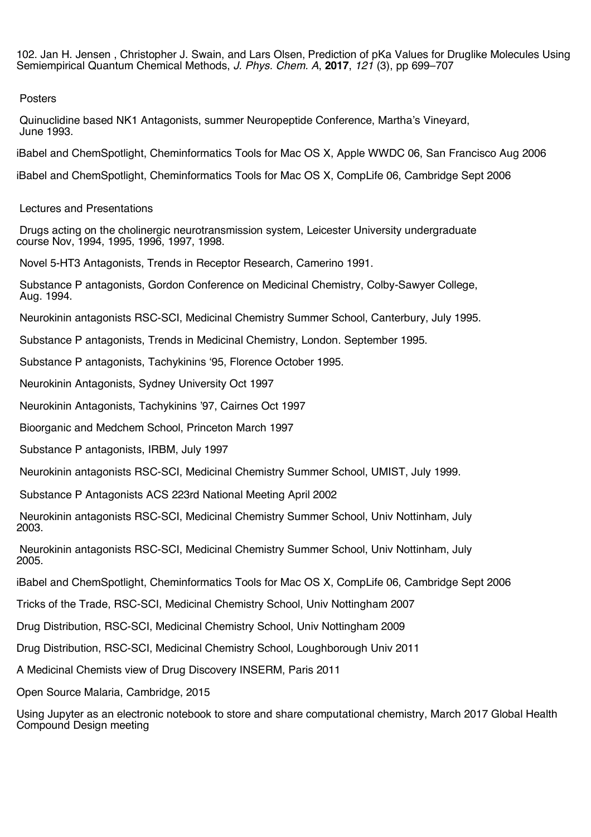102. Jan H. Jensen , Christopher J. Swain, and Lars Olsen, Prediction of pKa Values for Druglike Molecules Using Semiempirical Quantum Chemical Methods, *J. Phys. Chem. A*, **2017**, *121* (3), pp 699–707

## Posters

Quinuclidine based NK1 Antagonists, summer Neuropeptide Conference, Martha's Vineyard, June 1993.

iBabel and ChemSpotlight, Cheminformatics Tools for Mac OS X, Apple WWDC 06, San Francisco Aug 2006

iBabel and ChemSpotlight, Cheminformatics Tools for Mac OS X, CompLife 06, Cambridge Sept 2006

Lectures and Presentations

Drugs acting on the cholinergic neurotransmission system, Leicester University undergraduate course Nov, 1994, 1995, 1996, 1997, 1998.

Novel 5-HT3 Antagonists, Trends in Receptor Research, Camerino 1991.

Substance P antagonists, Gordon Conference on Medicinal Chemistry, Colby-Sawyer College, Aug. 1994.

Neurokinin antagonists RSC-SCI, Medicinal Chemistry Summer School, Canterbury, July 1995.

Substance P antagonists, Trends in Medicinal Chemistry, London. September 1995.

Substance P antagonists, Tachykinins '95, Florence October 1995.

Neurokinin Antagonists, Sydney University Oct 1997

Neurokinin Antagonists, Tachykinins '97, Cairnes Oct 1997

Bioorganic and Medchem School, Princeton March 1997

Substance P antagonists, IRBM, July 1997

Neurokinin antagonists RSC-SCI, Medicinal Chemistry Summer School, UMIST, July 1999.

Substance P Antagonists ACS 223rd National Meeting April 2002

Neurokinin antagonists RSC-SCI, Medicinal Chemistry Summer School, Univ Nottinham, July 2003.

Neurokinin antagonists RSC-SCI, Medicinal Chemistry Summer School, Univ Nottinham, July 2005.

iBabel and ChemSpotlight, Cheminformatics Tools for Mac OS X, CompLife 06, Cambridge Sept 2006

Tricks of the Trade, RSC-SCI, Medicinal Chemistry School, Univ Nottingham 2007

Drug Distribution, RSC-SCI, Medicinal Chemistry School, Univ Nottingham 2009

Drug Distribution, RSC-SCI, Medicinal Chemistry School, Loughborough Univ 2011

A Medicinal Chemists view of Drug Discovery INSERM, Paris 2011

Open Source Malaria, Cambridge, 2015

Using Jupyter as an electronic notebook to store and share computational chemistry, March 2017 Global Health Compound Design meeting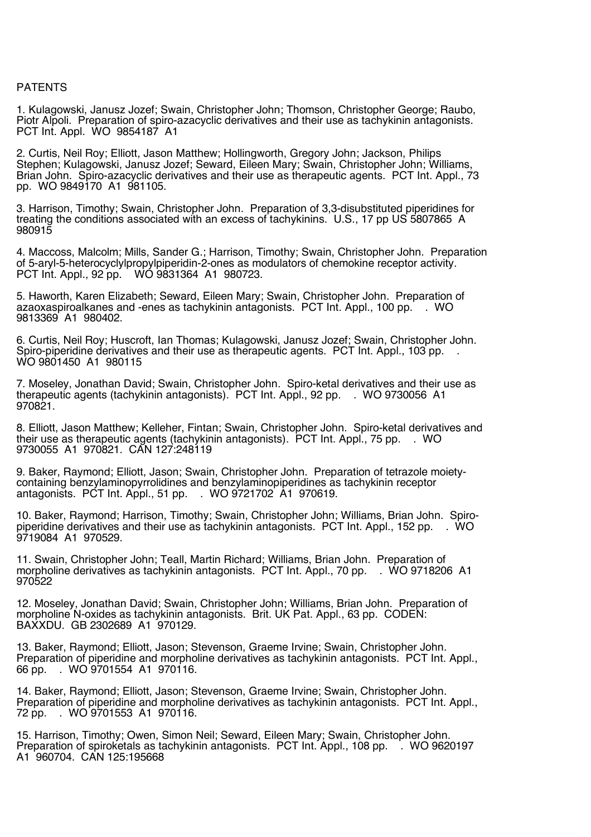## PATENTS

1. Kulagowski, Janusz Jozef; Swain, Christopher John; Thomson, Christopher George; Raubo, Piotr Alpoli. Preparation of spiro-azacyclic derivatives and their use as tachykinin antagonists. PCT Int. Appl. WO 9854187 A1

2. Curtis, Neil Roy; Elliott, Jason Matthew; Hollingworth, Gregory John; Jackson, Philips Stephen; Kulagowski, Janusz Jozef; Seward, Eileen Mary; Swain, Christopher John; Williams, Brian John. Spiro-azacyclic derivatives and their use as therapeutic agents. PCT Int. Appl., 73 pp. WO 9849170 A1 981105.

3. Harrison, Timothy; Swain, Christopher John. Preparation of 3,3-disubstituted piperidines for treating the conditions associated with an excess of tachykinins. U.S., 17 pp US 5807865 A 980915

4. Maccoss, Malcolm; Mills, Sander G.; Harrison, Timothy; Swain, Christopher John. Preparation of 5-aryl-5-heterocyclylpropylpiperidin-2-ones as modulators of chemokine receptor activity. PCT Int. Appl., 92 pp. WO 9831364 A1 980723.

5. Haworth, Karen Elizabeth; Seward, Eileen Mary; Swain, Christopher John. Preparation of azaoxaspiroalkanes and -enes as tachykinin antagonists. PCT Int. Appl., 100 pp. . WO 9813369 A1 980402.

6. Curtis, Neil Roy; Huscroft, Ian Thomas; Kulagowski, Janusz Jozef; Swain, Christopher John. Spiro-piperidine derivatives and their use as therapeutic agents. PCT Int. Appl., 103 pp. . WO 9801450 A1 980115

7. Moseley, Jonathan David; Swain, Christopher John. Spiro-ketal derivatives and their use as therapeutic agents (tachykinin antagonists). PCT Int. Appl., 92 pp. . WO 9730056 A1 970821.

8. Elliott, Jason Matthew; Kelleher, Fintan; Swain, Christopher John. Spiro-ketal derivatives and their use as therapeutic agents (tachykinin antagonists). PCT Int. Appl., 75 pp. . WO 9730055 A1 970821. CAN 127:248119

9. Baker, Raymond; Elliott, Jason; Swain, Christopher John. Preparation of tetrazole moiety- containing benzylaminopyrrolidines and benzylaminopiperidines as tachykinin receptor antagonists. PCT Int. Appl., 51 pp. . WO 9721702 A1 970619.

10. Baker, Raymond; Harrison, Timothy; Swain, Christopher John; Williams, Brian John. Spiro- piperidine derivatives and their use as tachykinin antagonists. PCT Int. Appl., 152 pp. . WO 9719084 A1 970529.

11. Swain, Christopher John; Teall, Martin Richard; Williams, Brian John. Preparation of morpholine derivatives as tachykinin antagonists. PCT Int. Appl., 70 pp. . WO 9718206 A1 970522

12. Moseley, Jonathan David; Swain, Christopher John; Williams, Brian John. Preparation of morpholine N-oxides as tachykinin antagonists. Brit. UK Pat. Appl., 63 pp. CODEN: BAXXDU. GB 2302689 A1 970129.

13. Baker, Raymond; Elliott, Jason; Stevenson, Graeme Irvine; Swain, Christopher John. Preparation of piperidine and morpholine derivatives as tachykinin antagonists. PCT Int. Appl., 66 pp. . WO 9701554 A1 970116.

14. Baker, Raymond; Elliott, Jason; Stevenson, Graeme Irvine; Swain, Christopher John. Preparation of piperidine and morpholine derivatives as tachykinin antagonists. PCT Int. Appl., 72 pp. . WO 9701553 A1 970116.

15. Harrison, Timothy; Owen, Simon Neil; Seward, Eileen Mary; Swain, Christopher John. Preparation of spiroketals as tachykinin antagonists. PCT Int. Appl., 108 pp. . WO 9620197 A1 960704. CAN 125:195668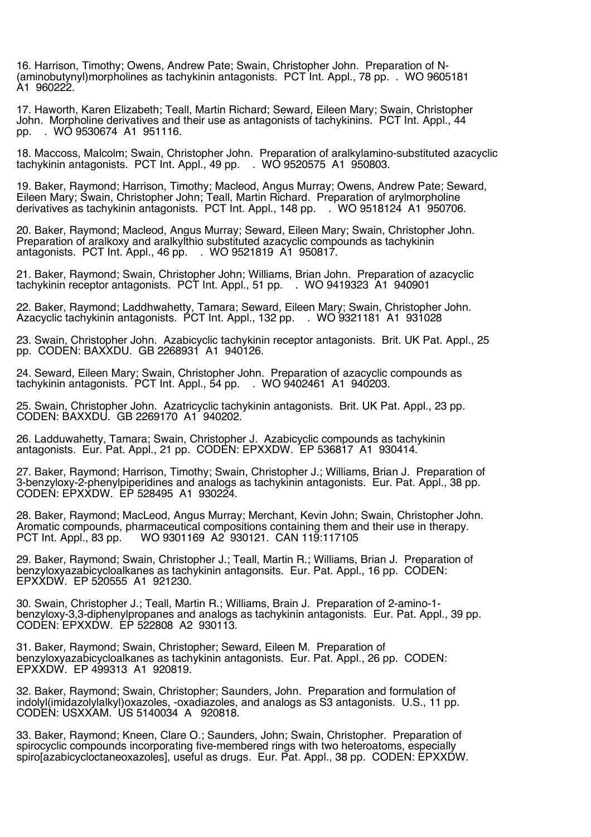16. Harrison, Timothy; Owens, Andrew Pate; Swain, Christopher John. Preparation of N- (aminobutynyl)morpholines as tachykinin antagonists. PCT Int. Appl., 78 pp. . WO 9605181 A1 960222.

17. Haworth, Karen Elizabeth; Teall, Martin Richard; Seward, Eileen Mary; Swain, Christopher John. Morpholine derivatives and their use as antagonists of tachykinins. PCT Int. Appl., 44 pp. . WO 9530674 A1 951116.

18. Maccoss, Malcolm; Swain, Christopher John. Preparation of aralkylamino-substituted azacyclic tachykinin antagonists. PCT Int. Appl., 49 pp. . WO 9520575 A1 950803.

19. Baker, Raymond; Harrison, Timothy; Macleod, Angus Murray; Owens, Andrew Pate; Seward, Eileen Mary; Swain, Christopher John; Teall, Martin Richard. Preparation of arylmorpholine derivatives as tachykinin antagonists. PCT Int. Appl., 148 pp. . WO 9518124 A1 950706.

20. Baker, Raymond; Macleod, Angus Murray; Seward, Eileen Mary; Swain, Christopher John. Preparation of aralkoxy and aralkylthio substituted azacyclic compounds as tachykinin antagonists. PCT Int. Appl., 46 pp. . WO 9521819 A1 950817.

21. Baker, Raymond; Swain, Christopher John; Williams, Brian John. Preparation of azacyclic tachykinin receptor antagonists. PCT Int. Appl., 51 pp. . WO 9419323 A1 940901

22. Baker, Raymond; Laddhwahetty, Tamara; Seward, Eileen Mary; Swain, Christopher John. Azacyclic tachykinin antagonists. PCT Int. Appl., 132 pp. . WO 9321181 A1 931028

23. Swain, Christopher John. Azabicyclic tachykinin receptor antagonists. Brit. UK Pat. Appl., 25 pp. CODEN: BAXXDU. GB 2268931 A1 940126.

24. Seward, Eileen Mary; Swain, Christopher John. Preparation of azacyclic compounds as tachykinin antagonists. PCT Int. Appl., 54 pp. . WO 9402461 A1 940203.

25. Swain, Christopher John. Azatricyclic tachykinin antagonists. Brit. UK Pat. Appl., 23 pp. CODEN: BAXXDU. GB 2269170 A1 940202.

26. Ladduwahetty, Tamara; Swain, Christopher J. Azabicyclic compounds as tachykinin antagonists. Eur. Pat. Appl., 21 pp. CODEN: EPXXDW. EP 536817 A1 930414.

27. Baker, Raymond; Harrison, Timothy; Swain, Christopher J.; Williams, Brian J. Preparation of 3-benzyloxy-2-phenylpiperidines and analogs as tachykinin antagonists. Eur. Pat. Appl., 38 pp. CODEN: EPXXDW. EP 528495 A1 930224.

28. Baker, Raymond; MacLeod, Angus Murray; Merchant, Kevin John; Swain, Christopher John. Aromatic compounds, pharmaceutical compositions containing them and their use in therapy. WO 9301169 A2 930121. CAN 119:117105

29. Baker, Raymond; Swain, Christopher J.; Teall, Martin R.; Williams, Brian J. Preparation of benzyloxyazabicycloalkanes as tachykinin antagonsits. Eur. Pat. Appl., 16 pp. CODEN: EPXXDW. EP 520555 A1 921230.

30. Swain, Christopher J.; Teall, Martin R.; Williams, Brain J. Preparation of 2-amino-1 benzyloxy-3,3-diphenylpropanes and analogs as tachykinin antagonists. Eur. Pat. Appl., 39 pp. CODEN: EPXXDW. EP 522808 A2 930113.

31. Baker, Raymond; Swain, Christopher; Seward, Eileen M. Preparation of benzyloxyazabicycloalkanes as tachykinin antagonists. Eur. Pat. Appl., 26 pp. CODEN: EPXXDW. EP 499313 A1 920819.

32. Baker, Raymond; Swain, Christopher; Saunders, John. Preparation and formulation of indolyl(imidazolylalkyl)oxazoles, -oxadiazoles, and analogs as S3 antagonists. U.S., 11 pp. CODEN: USXXAM. US 5140034 A 920818.

33. Baker, Raymond; Kneen, Clare O.; Saunders, John; Swain, Christopher. Preparation of spirocyclic compounds incorporating five-membered rings with two heteroatoms, especially spiro[azabicycloctaneoxazoles], useful as drugs. Eur. Pat. Appl., 38 pp. CODEN: EPXXDW.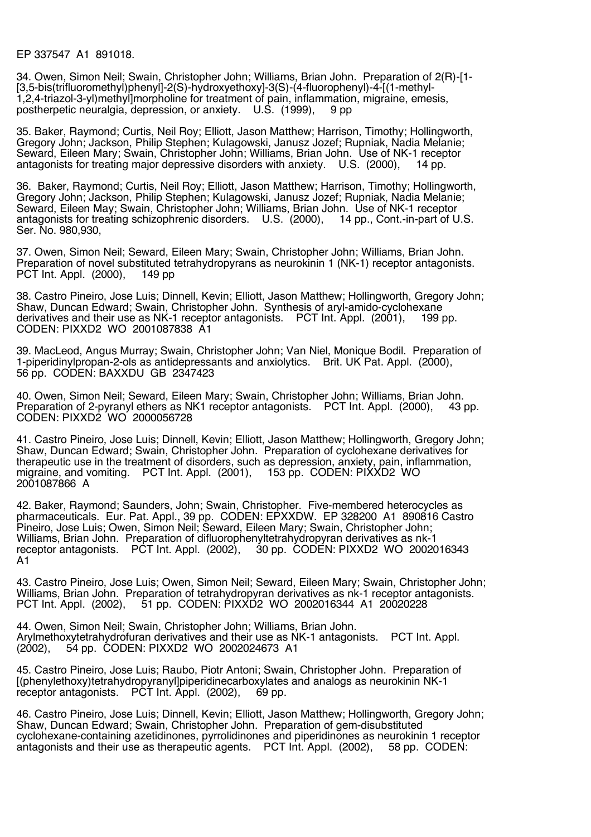EP 337547 A1 891018.

34. Owen, Simon Neil; Swain, Christopher John; Williams, Brian John. Preparation of 2(R)-[1- [3,5-bis(trifluoromethyl)phenyl]-2(S)-hydroxyethoxy]-3(S)-(4-fluorophenyl)-4-[(1-methyl-1,2,4-triazol-3-yl)methyl]morpholine for treatment of pain, inflammation, migraine, emesis, postherpetic neuralgia, depression, or anxiety. U.S. (1999), 9 pp

35. Baker, Raymond; Curtis, Neil Roy; Elliott, Jason Matthew; Harrison, Timothy; Hollingworth, Gregory John; Jackson, Philip Stephen; Kulagowski, Janusz Jozef; Rupniak, Nadia Melanie; Seward, Eileen Mary; Swain, Christopher John; Williams, Brian John. Use of NK-1 receptor antagonists for treating major depressive disorders with anxiety. U.S. (2000), 14 pp.

36. Baker, Raymond; Curtis, Neil Roy; Elliott, Jason Matthew; Harrison, Timothy; Hollingworth, Gregory John; Jackson, Philip Stephen; Kulagowski, Janusz Jozef; Rupniak, Nadia Melanie; Seward, Eileen May; Swain, Christopher John; Williams, Brian John. Use of NK-1 receptor<br>antagonists for treating schizophrenic disorders. U.S. (2000), 14 pp., Cont.-in-part of U.S. antagonists for treating schizophrenic disorders. U.S. (2000), Ser. No. 980,930,

37. Owen, Simon Neil; Seward, Eileen Mary; Swain, Christopher John; Williams, Brian John. Preparation of novel substituted tetrahydropyrans as neurokinin 1 (NK-1) receptor antagonists.<br>PCT Int. Appl. (2000), 149 pp PCT Int. Appl.  $(2000)$ ,

38. Castro Pineiro, Jose Luis; Dinnell, Kevin; Elliott, Jason Matthew; Hollingworth, Gregory John; Shaw, Duncan Edward; Swain, Christopher John. Synthesis of aryl-amido-cyclohexane derivatives and their use as NK-1 receptor antagonists. PCT Int. Appl. (2001), 199 pp. CODEN: PIXXD2 WO 2001087838 A1

39. MacLeod, Angus Murray; Swain, Christopher John; Van Niel, Monique Bodil. Preparation of 1-piperidinylpropan-2-ols as antidepressants and anxiolytics. Brit. UK Pat. Appl. (2000), 56 pp. CODEN: BAXXDU GB 2347423

40. Owen, Simon Neil; Seward, Eileen Mary; Swain, Christopher John; Williams, Brian John. Preparation of 2-pyranyl ethers as NK1 receptor antagonists. PCT Int. Appl. (2000), CODEN: PIXXD2 WO 2000056728

41. Castro Pineiro, Jose Luis; Dinnell, Kevin; Elliott, Jason Matthew; Hollingworth, Gregory John; Shaw, Duncan Edward; Swain, Christopher John. Preparation of cyclohexane derivatives for therapeutic use in the treatment of disorders, such as depression, anxiety, pain, inflammation, migraine, and vomiting. PCT Int. Appl. (2001), 153 pp. CODEN: PIXXD2 WO 2001087866 A

42. Baker, Raymond; Saunders, John; Swain, Christopher. Five-membered heterocycles as pharmaceuticals. Eur. Pat. Appl., 39 pp. CODEN: EPXXDW. EP 328200 A1 890816 Castro Pineiro, Jose Luis; Owen, Simon Neil; Seward, Eileen Mary; Swain, Christopher John; Williams, Brian John. Preparation of difluorophenyltetrahydropyran derivatives as nk-1 receptor antagonists.  $PCT$  Int. Appl. (2002). A1

43. Castro Pineiro, Jose Luis; Owen, Simon Neil; Seward, Eileen Mary; Swain, Christopher John; Williams, Brian John. Preparation of tetrahydropyran derivatives as nk-1 receptor antagonists. PCT Int. Appl. (2002), 51 pp. CODEN: PIXXD2 WO 2002016344 A1 20020228

44. Owen, Simon Neil; Swain, Christopher John; Williams, Brian John. Arylmethoxytetrahydrofuran derivatives and their use as NK-1 antagonists. PCT Int. Appl. 54 pp. CODEN: PIXXD2 WO 2002024673 A1

45. Castro Pineiro, Jose Luis; Raubo, Piotr Antoni; Swain, Christopher John. Preparation of [(phenylethoxy)tetrahydropyranyl]piperidinecarboxylates and analogs as neurokinin NK-1 receptor antagonists. PCT Int. Appl. (2002),

46. Castro Pineiro, Jose Luis; Dinnell, Kevin; Elliott, Jason Matthew; Hollingworth, Gregory John; Shaw, Duncan Edward; Swain, Christopher John. Preparation of gem-disubstituted cyclohexane-containing azetidinones, pyrrolidinones and piperidinones as neurokinin 1 receptor antagonists and their use as therapeutic agents. PCT Int. Appl. (2002), 58 pp. CODEN: